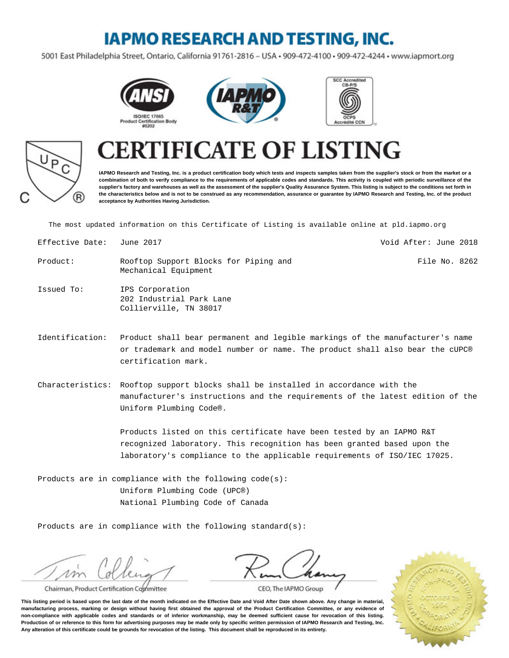## **IAPMO RESEARCH AND TESTING, INC.**

5001 East Philadelphia Street, Ontario, California 91761-2816 - USA · 909-472-4100 · 909-472-4244 · www.iapmort.org









## **CATE OF LISTING** FI

**IAPMO Research and Testing, Inc. is a product certification body which tests and inspects samples taken from the supplier's stock or from the market or a combination of both to verify compliance to the requirements of applicable codes and standards. This activity is coupled with periodic surveillance of the supplier's factory and warehouses as well as the assessment of the supplier's Quality Assurance System. This listing is subject to the conditions set forth in the characteristics below and is not to be construed as any recommendation, assurance or guarantee by IAPMO Research and Testing, Inc. of the product acceptance by Authorities Having Jurisdiction.**

The most updated information on this Certificate of Listing is available online at pld.iapmo.org

| Effective Date: June 2017 |                                                                       | Void After: June 2018 |
|---------------------------|-----------------------------------------------------------------------|-----------------------|
| Product:                  | Rooftop Support Blocks for Piping and<br>Mechanical Equipment         | File No. 8262         |
| Issued To:                | IPS Corporation<br>202 Industrial Park Lane<br>Collierville, TN 38017 |                       |

- Identification: Product shall bear permanent and legible markings of the manufacturer's name or trademark and model number or name. The product shall also bear the cUPC® certification mark.
- Characteristics: Rooftop support blocks shall be installed in accordance with the manufacturer's instructions and the requirements of the latest edition of the Uniform Plumbing Code®.

Products listed on this certificate have been tested by an IAPMO R&T recognized laboratory. This recognition has been granted based upon the laboratory's compliance to the applicable requirements of ISO/IEC 17025.

Products are in compliance with the following code(s): Uniform Plumbing Code (UPC®) National Plumbing Code of Canada

Products are in compliance with the following standard(s):

 $\nu \nu$ 

Chairman, Product Certification Committee



CEO, The IAPMO Group

**This listing period is based upon the last date of the month indicated on the Effective Date and Void After Date shown above. Any change in material, manufacturing process, marking or design without having first obtained the approval of the Product Certification Committee, or any evidence of non-compliance with applicable codes and standards or of inferior workmanship, may be deemed sufficient cause for revocation of this listing. Production of or reference to this form for advertising purposes may be made only by specific written permission of IAPMO Research and Testing, Inc. Any alteration of this certificate could be grounds for revocation of the listing. This document shall be reproduced in its entirety.**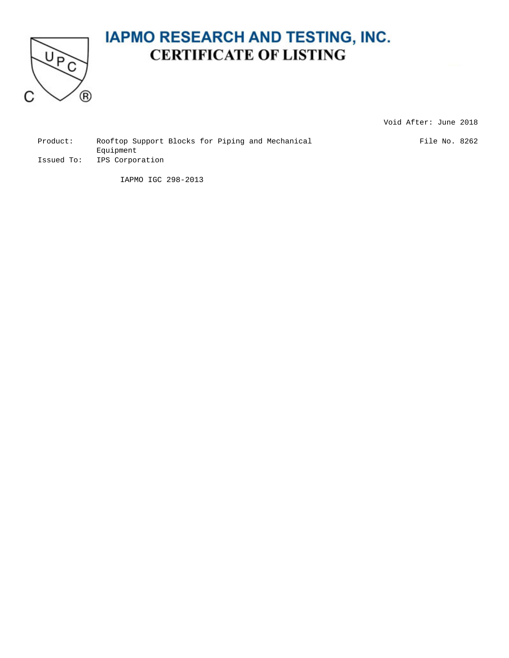

## **IAPMO RESEARCH AND TESTING, INC. CERTIFICATE OF LISTING**

Void After: June 2018

File No. 8262

| Product:   | Rooftop Support Blocks for Piping and Mechanical |
|------------|--------------------------------------------------|
|            | Equipment                                        |
| Issued To: | IPS Corporation                                  |

IAPMO IGC 298-2013